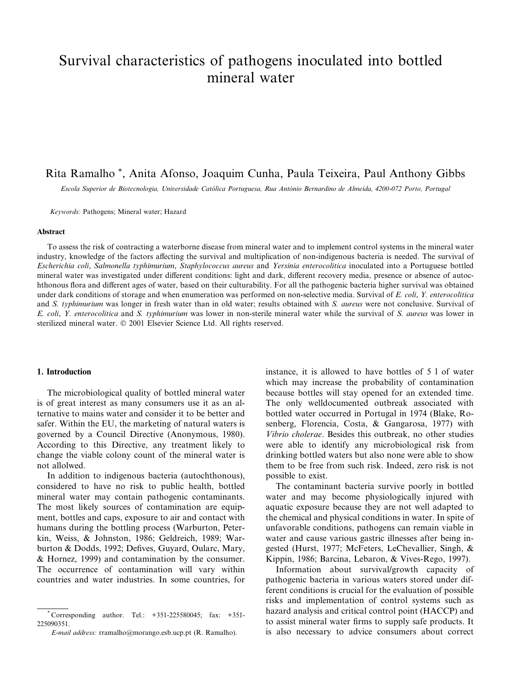# Survival characteristics of pathogens inoculated into bottled mineral water

# Rita Ramalho\*, Anita Afonso, Joaquim Cunha, Paula Teixeira, Paul Anthony Gibbs

Escola Superior de Biotecnologia, Universidade Católica Portuguesa, Rua António Bernardino de Almeida, 4200-072 Porto, Portugal

Keywords: Pathogens; Mineral water; Hazard

#### **Abstract**

To assess the risk of contracting a waterborne disease from mineral water and to implement control systems in the mineral water industry, knowledge of the factors affecting the survival and multiplication of non-indigenous bacteria is needed. The survival of Escherichia coli, Salmonella typhimurium, Staphylococcus aureus and Yersinia enterocolitica inoculated into a Portuguese bottled mineral water was investigated under different conditions: light and dark, different recovery media, presence or absence of autochthonous flora and different ages of water, based on their culturability. For all the pathogenic bacteria higher survival was obtained under dark conditions of storage and when enumeration was performed on non-selective media. Survival of E. coli, Y. enterocolitica and S. typhimurium was longer in fresh water than in old water; results obtained with S. aureus were not conclusive. Survival of E. coli, Y. enterocolitica and S. typhimurium was lower in non-sterile mineral water while the survival of S. aureus was lower in sterilized mineral water. © 2001 Elsevier Science Ltd. All rights reserved.

# 1. Introduction

The microbiological quality of bottled mineral water is of great interest as many consumers use it as an alternative to mains water and consider it to be better and safer. Within the EU, the marketing of natural waters is governed by a Council Directive (Anonymous, 1980). According to this Directive, any treatment likely to change the viable colony count of the mineral water is not allolwed.

In addition to indigenous bacteria (autochthonous), considered to have no risk to public health, bottled mineral water may contain pathogenic contaminants. The most likely sources of contamination are equipment, bottles and caps, exposure to air and contact with humans during the bottling process (Warburton, Peterkin, Weiss, & Johnston, 1986; Geldreich, 1989; Warburton & Dodds, 1992; Defives, Guyard, Oularc, Mary,  $\&$  Hornez, 1999) and contamination by the consumer. The occurrence of contamination will vary within countries and water industries. In some countries, for

instance, it is allowed to have bottles of 5 l of water which may increase the probability of contamination because bottles will stay opened for an extended time. The only welldocumented outbreak associated with bottled water occurred in Portugal in 1974 (Blake, Rosenberg, Florencia, Costa, & Gangarosa, 1977) with Vibrio cholerae. Besides this outbreak, no other studies were able to identify any microbiological risk from drinking bottled waters but also none were able to show them to be free from such risk. Indeed, zero risk is not possible to exist.

The contaminant bacteria survive poorly in bottled water and may become physiologically injured with aquatic exposure because they are not well adapted to the chemical and physical conditions in water. In spite of unfavorable conditions, pathogens can remain viable in water and cause various gastric illnesses after being ingested (Hurst, 1977; McFeters, LeChevallier, Singh, & Kippin, 1986; Barcina, Lebaron, & Vives-Rego, 1997).

Information about survival/growth capacity of pathogenic bacteria in various waters stored under different conditions is crucial for the evaluation of possible risks and implementation of control systems such as hazard analysis and critical control point (HACCP) and to assist mineral water firms to supply safe products. It is also necessary to advice consumers about correct

Corresponding author. Tel.: +351-225580045; fax: +351-225090351

E-mail address: rramalho@morango.esb.ucp.pt (R. Ramalho).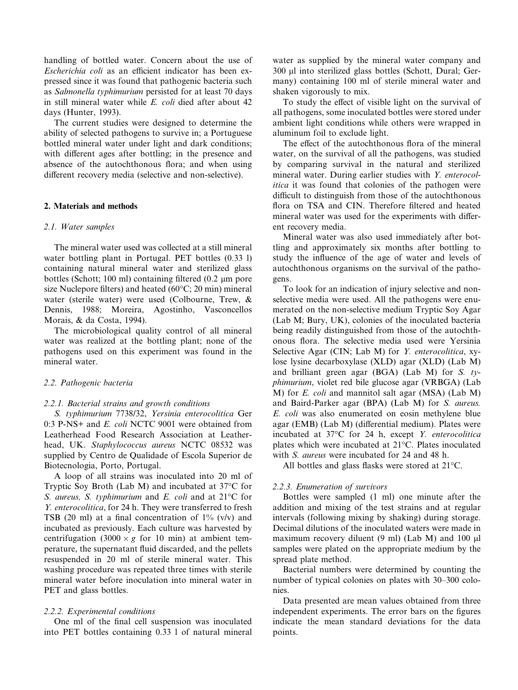handling of bottled water. Concern about the use of *Escherichia coli* as an efficient indicator has been expressed since it was found that pathogenic bacteria such as Salmonella typhimurium persisted for at least 70 days in still mineral water while E. coli died after about 42 days (Hunter, 1993).

The current studies were designed to determine the ability of selected pathogens to survive in; a Portuguese bottled mineral water under light and dark conditions; with different ages after bottling; in the presence and absence of the autochthonous flora; and when using different recovery media (selective and non-selective).

#### 2. Materials and methods

#### 2.1. Water samples

The mineral water used was collected at a still mineral water bottling plant in Portugal. PET bottles (0.33 l) containing natural mineral water and sterilized glass bottles (Schott; 100 ml) containing filtered  $(0.2 \mu m)$  pore size Nuclepore filters) and heated  $(60^{\circ}C; 20 \text{ min})$  mineral water (sterile water) were used (Colbourne, Trew, & Dennis, 1988; Moreira, Agostinho, Vasconcellos Morais, & da Costa, 1994).

The microbiological quality control of all mineral water was realized at the bottling plant; none of the pathogens used on this experiment was found in the mineral water.

#### 2.2. Pathogenic bacteria

# 2.2.1. Bacterial strains and growth conditions

S. typhimurium 7738/32, Yersinia enterocolitica Ger 0:3 P-NS+ and E. coli NCTC 9001 were obtained from Leatherhead Food Research Association at Leatherhead, UK. Staphylococcus aureus NCTC 08532 was supplied by Centro de Qualidade of Escola Superior de Biotecnologia, Porto, Portugal.

A loop of all strains was inoculated into 20 ml of Tryptic Soy Broth (Lab M) and incubated at  $37^{\circ}$ C for S. aureus, S. typhimurium and E. coli and at  $21^{\circ}$ C for Y. enterocolitica, for 24 h. They were transferred to fresh TSB (20 ml) at a final concentration of  $1\%$  (v/v) and incubated as previously. Each culture was harvested by centrifugation  $(3000 \times g)$  for 10 min) at ambient temperature, the supernatant fluid discarded, and the pellets resuspended in 20 ml of sterile mineral water. This washing procedure was repeated three times with sterile mineral water before inoculation into mineral water in PET and glass bottles.

# 2.2.2. Experimental conditions

One ml of the final cell suspension was inoculated into PET bottles containing 0.33 1 of natural mineral water as supplied by the mineral water company and 300 µl into sterilized glass bottles (Schott, Dural; Germany) containing 100 ml of sterile mineral water and shaken vigorously to mix.

To study the effect of visible light on the survival of all pathogens, some inoculated bottles were stored under ambient light conditions while others were wrapped in aluminum foil to exclude light.

The effect of the autochthonous flora of the mineral water, on the survival of all the pathogens, was studied by comparing survival in the natural and sterilized mineral water. During earlier studies with Y. enterocol*itica* it was found that colonies of the pathogen were difficult to distinguish from those of the autochthonous flora on TSA and CIN. Therefore filtered and heated mineral water was used for the experiments with different recovery media.

Mineral water was also used immediately after bottling and approximately six months after bottling to study the influence of the age of water and levels of autochthonous organisms on the survival of the pathogens.

To look for an indication of injury selective and nonselective media were used. All the pathogens were enumerated on the non-selective medium Tryptic Soy Agar (Lab M; Bury, UK), colonies of the inoculated bacteria being readily distinguished from those of the autochthonous flora. The selective media used were Yersinia Selective Agar (CIN; Lab M) for *Y. enterocolitica*, xylose lysine decarboxylase (XLD) agar (XLD) (Lab M) and brilliant green agar (BGA) (Lab M) for S.  $ty$ *phimurium*, violet red bile glucose agar (VRBGA) (Lab M) for *E. coli* and mannitol salt agar (MSA) (Lab M) and Baird-Parker agar (BPA) (Lab M) for S. aureus. E. coli was also enumerated on eosin methylene blue agar (EMB) (Lab M) (differential medium). Plates were incubated at 37°C for 24 h, except Y. enterocolitica plates which were incubated at 21°C. Plates inoculated with S. *aureus* were incubated for 24 and 48 h.

All bottles and glass flasks were stored at 21°C.

# 2.2.3. Enumeration of survivors

Bottles were sampled (1 ml) one minute after the addition and mixing of the test strains and at regular intervals (following mixing by shaking) during storage. Decimal dilutions of the inoculated waters were made in maximum recovery diluent (9 ml) (Lab M) and 100 µl samples were plated on the appropriate medium by the spread plate method.

Bacterial numbers were determined by counting the number of typical colonies on plates with 30–300 colonies.

Data presented are mean values obtained from three independent experiments. The error bars on the figures indicate the mean standard deviations for the data points.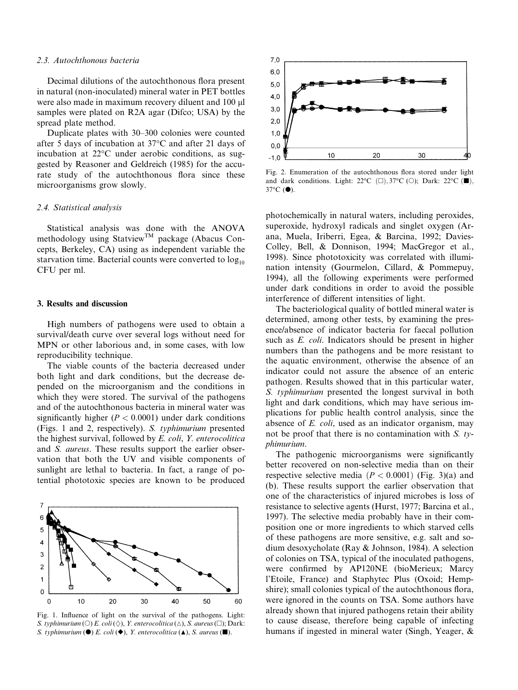#### 2.3. Autochthonous bacteria

Decimal dilutions of the autochthonous flora present in natural (non-inoculated) mineral water in PET bottles were also made in maximum recovery diluent and 100 µl samples were plated on R2A agar (Difco; USA) by the spread plate method.

Duplicate plates with 30–300 colonies were counted after 5 days of incubation at 37 °C and after 21 days of incubation at 22 °C under aerobic conditions, as suggested by Reasoner and Geldreich (1985) for the accurate study of the autochthonous flora since these microorganisms grow slowly.

#### 2.4. Statistical analysis

Statistical analysis was done with the ANOVA methodology using Statview™ package (Abacus Concepts, Berkeley, CA) using as independent variable the starvation time. Bacterial counts were converted to  $log_{10}$ CFU per ml.

#### 3. Results and discussion

High numbers of pathogens were used to obtain a survival/death curve over several logs without need for MPN or other laborious and, in some cases, with low reproducibility technique.

The viable counts of the bacteria decreased under both light and dark conditions, but the decrease depended on the microorganism and the conditions in which they were stored. The survival of the pathogens and of the autochthonous bacteria in mineral water was significantly higher ( $P < 0.0001$ ) under dark conditions (Figs. 1 and 2, respectively). S. typhimurium presented the highest survival, followed by E. coli, Y. enterocolitica and S. *aureus*. These results support the earlier observation that both the UV and visible components of sunlight are lethal to bacteria. In fact, a range of potential phototoxic species are known to be produced



Fig. 1. Influence of light on the survival of the pathogens. Light: S. typhimurium (O) E. coli ( $\Diamond$ ), Y. enterocolitica ( $\Diamond$ ), S. aureus ( $\Box$ ); Dark: S. typhimurium  $(\bullet)$  E. coli  $(\bullet)$ , Y. enterocolitica  $(\blacktriangle)$ , S. aureus  $(\blacksquare)$ .



Fig. 2. Enumeration of the autochthonous flora stored under light and dark conditions. Light: 22°C ( $\square$ ), 37°C ( $\odot$ ); Dark: 22°C ( $\square$ ),  $37^{\circ}$ C ( $\bullet$ ).

photochemically in natural waters, including peroxides, superoxide, hydroxyl radicals and singlet oxygen (Arana, Muela, Iriberri, Egea, & Barcina, 1992; Davies-Colley, Bell, & Donnison, 1994; MacGregor et al., 1998). Since phototoxicity was correlated with illumination intensity (Gourmelon, Cillard, & Pommepuy, 1994), all the following experiments were performed under dark conditions in order to avoid the possible interference of different intensities of light.

The bacteriological quality of bottled mineral water is determined, among other tests, by examining the presence/absence of indicator bacteria for faecal pollution such as *E. coli*. Indicators should be present in higher numbers than the pathogens and be more resistant to the aquatic environment, otherwise the absence of an indicator could not assure the absence of an enteric pathogen. Results showed that in this particular water. S. typhimurium presented the longest survival in both light and dark conditions, which may have serious implications for public health control analysis, since the absence of *E. coli*, used as an indicator organism, may not be proof that there is no contamination with  $S$ . typhimurium.

The pathogenic microorganisms were significantly better recovered on non-selective media than on their respective selective media ( $P < 0.0001$ ) (Fig. 3)(a) and (b). These results support the earlier observation that one of the characteristics of injured microbes is loss of resistance to selective agents (Hurst, 1977; Barcina et al., 1997). The selective media probably have in their composition one or more ingredients to which starved cells of these pathogens are more sensitive, e.g. salt and sodium desoxycholate (Ray & Johnson, 1984). A selection of colonies on TSA, typical of the inoculated pathogens, were confirmed by AP120NE (bioMerieux; Marcy l'Etoile. France) and Staphytec Plus (Oxoid: Hempshire); small colonies typical of the autochthonous flora, were ignored in the counts on TSA. Some authors have already shown that injured pathogens retain their ability to cause disease, therefore being capable of infecting humans if ingested in mineral water (Singh, Yeager, &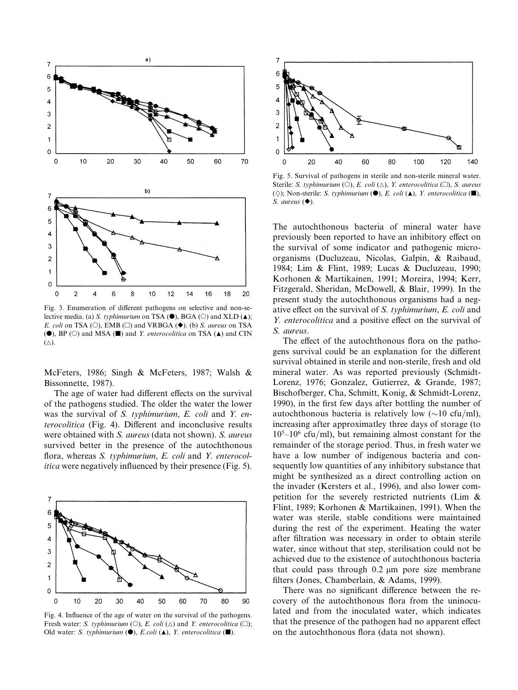

Fig. 3. Enumeration of different pathogens on selective and non-selective media. (a) S. typhimurium on TSA ( $\bullet$ ), BGA ( $\circ$ ) and XLD ( $\blacktriangle$ ); *E. coli* on TSA (O), EMB ( $\square$ ) and VRBGA ( $\blacklozenge$ ). (b) *S. aureus* on TSA ( $\bullet$ ), BP ( $\circ$ ) and MSA ( $\blacksquare$ ) and *Y. enterocolitica* on TSA ( $\blacktriangle$ ) and CIN  $(\triangle).$ 

McFeters, 1986; Singh & McFeters, 1987; Walsh & Bissonnette, 1987).

The age of water had different effects on the survival of the pathogens studied. The older the water the lower was the survival of S. typhimurium, E. coli and Y. en*terocolitica* (Fig. 4). Different and inconclusive results were obtained with S. aureus (data not shown). S. aureus survived better in the presence of the autochthonous flora, whereas S. typhimurium, E. coli and Y. enterocol*itica* were negatively influenced by their presence (Fig. 5).



Fig. 4. Influence of the age of water on the survival of the pathogens. Fresh water: S. typhimurium (O), E. coli ( $\triangle$ ) and Y. enterocolitica ( $\square$ ); Old water: S. typhimurium ( $\bullet$ ), E.coli ( $\blacktriangle$ ), Y. enterocolitica ( $\blacksquare$ ).



Fig. 5. Survival of pathogens in sterile and non-sterile mineral water. Sterile: S. typhimurium (O), E. coli ( $\triangle$ ), Y. enterocolitica ( $\square$ ), S. aureus ( $\Diamond$ ); Non-sterile: S. typhimurium ( $\bullet$ ), E. coli ( $\blacktriangle$ ), Y. enterocolitica ( $\blacksquare$ ), S. aureus  $($ .

The autochthonous bacteria of mineral water have previously been reported to have an inhibitory effect on the survival of some indicator and pathogenic microorganisms (Ducluzeau, Nicolas, Galpin, & Raibaud, 1984; Lim & Flint, 1989; Lucas & Ducluzeau, 1990; Korhonen & Martikainen, 1991; Moreira, 1994; Kerr, Fitzgerald, Sheridan, McDowell, & Blair, 1999). In the present study the autochthonous organisms had a negative effect on the survival of S. typhimurium, E. coli and Y. enterocolitica and a positive effect on the survival of S. aureus.

The effect of the autochthonous flora on the pathogens survival could be an explanation for the different survival obtained in sterile and non-sterile, fresh and old mineral water. As was reported previously (Schmidt-Lorenz, 1976; Gonzalez, Gutierrez, & Grande, 1987; Bischofberger, Cha. Schmitt, Konig, & Schmidt-Lorenz. 1990), in the first few days after bottling the number of autochthonous bacteria is relatively low  $(\sim 10 \text{ cfu/ml})$ , increasing after approximatley three days of storage (to  $10^5 - 10^6$  cfu/ml), but remaining almost constant for the remainder of the storage period. Thus, in fresh water we have a low number of indigenous bacteria and consequently low quantities of any inhibitory substance that might be synthesized as a direct controlling action on the invader (Kersters et al., 1996), and also lower competition for the severely restricted nutrients (Lim & Flint, 1989; Korhonen & Martikainen, 1991). When the water was sterile, stable conditions were maintained during the rest of the experiment. Heating the water after filtration was necessary in order to obtain sterile water, since without that step, sterilisation could not be achieved due to the existence of autochthonous bacteria that could pass through  $0.2 \mu m$  pore size membrane filters (Jones, Chamberlain, & Adams, 1999).

There was no significant difference between the recovery of the autochthonous flora from the uninoculated and from the inoculated water, which indicates that the presence of the pathogen had no apparent effect on the autochthonous flora (data not shown).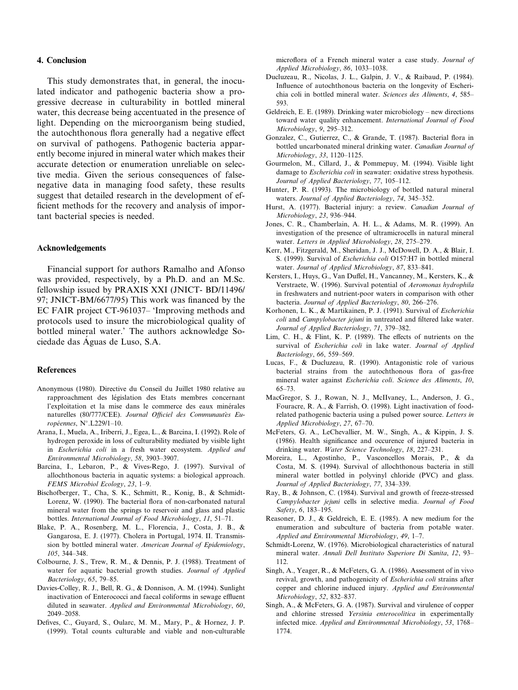#### 4. Conclusion

This study demonstrates that, in general, the inoculated indicator and pathogenic bacteria show a progressive decrease in culturability in bottled mineral water, this decrease being accentuated in the presence of light. Depending on the microorganism being studied, the autochthonous flora generally had a negative effect on survival of pathogens. Pathogenic bacteria apparently become injured in mineral water which makes their accurate detection or enumeration unreliable on selective media. Given the serious consequences of falsenegative data in managing food safety, these results suggest that detailed research in the development of efficient methods for the recovery and analysis of important bacterial species is needed.

#### **Acknowledgements**

Financial support for authors Ramalho and Afonso was provided, respectively, by a Ph.D. and an M.Sc. fellowship issued by PRAXIS XXI (JNICT- BD/11496/ 97; JNICT-BM/6677/95) This work was financed by the EC FAIR project CT-961037– 'Improving methods and protocols used to insure the microbiological quality of bottled mineral water.' The authors acknowledge Sociedade das Águas de Luso, S.A.

#### **References**

- Anonymous (1980). Directive du Conseil du Juillet 1980 relative au rapproachment des législation des Etats membres concernant l'exploitation et la mise dans le commerce des eaux minérales naturelles (80/777/CEE). Journal Officiel des Communautès Européennes,  $N^{\circ}$ , L229/1-10.
- Arana, I., Muela, A., Iriberri, J., Egea, L., & Barcina, I. (1992). Role of hydrogen peroxide in loss of culturability mediated by visible light in Escherichia coli in a fresh water ecosystem. Applied and Environmental Microbiology, 58, 3903-3907.
- Barcina, I., Lebaron, P., & Vives-Rego, J. (1997). Survival of allochthonous bacteria in aquatic systems: a biological approach. FEMS Microbiol Ecology, 23, 1-9.
- Bischofberger, T., Cha, S. K., Schmitt, R., Konig, B., & Schmidt-Lorenz, W. (1990). The bacterial flora of non-carbonated natural mineral water from the springs to reservoir and glass and plastic bottles. International Journal of Food Microbiology, 11, 51-71.
- Blake, P. A., Rosenberg, M. L., Florencia, J., Costa, J. B., & Gangarosa, E. J. (1977). Cholera in Portugal, 1974. II. Transmission by bottled mineral water. American Journal of Epidemiology,  $105.344 - 348.$
- Colbourne, J. S., Trew, R. M., & Dennis, P. J. (1988). Treatment of water for aquatic bacterial growth studies. Journal of Applied Bacteriology, 65, 79-85.
- Davies-Colley, R. J., Bell, R. G., & Donnison, A. M. (1994). Sunlight inactivation of Enterococci and faecal coliforms in sewage effluent diluted in seawater. Applied and Environmental Microbiology, 60, 2049-2058.
- Defives, C., Guyard, S., Oularc, M. M., Mary, P., & Hornez, J. P. (1999). Total counts culturable and viable and non-culturable

microflora of a French mineral water a case study. Journal of Applied Microbiology, 86, 1033-1038.

- Ducluzeau, R., Nicolas, J. L., Galpin, J. V., & Raibaud, P. (1984). Influence of autochthonous bacteria on the longevity of Escherichia coli in bottled mineral water. Sciences des Aliments, 4, 585-593
- Geldreich, E. E. (1989). Drinking water microbiology new directions toward water quality enhancement. International Journal of Food Microbiology, 9, 295-312.
- Gonzalez, C., Gutierrez, C., & Grande, T. (1987). Bacterial flora in bottled uncarbonated mineral drinking water. Canadian Journal of Microbiology, 33, 1120-1125.
- Gourmelon, M., Cillard, J., & Pommepuy, M. (1994). Visible light damage to Escherichia coli in seawater: oxidative stress hypothesis. Journal of Applied Bacteriology, 77, 105-112.
- Hunter, P. R. (1993). The microbiology of bottled natural mineral waters. Journal of Applied Bacteriology, 74, 345-352.
- Hurst, A. (1977). Bacterial injury: a review. Canadian Journal of Microbiology, 23, 936-944.
- Jones, C. R., Chamberlain, A. H. L., & Adams, M. R. (1999). An investigation of the presence of ultramicrocells in natural mineral water. Letters in Applied Microbiology, 28, 275-279.
- Kerr, M., Fitzgerald, M., Sheridan, J. J., McDowell, D. A., & Blair, I. S. (1999). Survival of *Escherichia coli* O157:H7 in bottled mineral water. Journal of Applied Microbiology, 87, 833-841.
- Kersters, I., Huvs, G., Van Duffel, H., Vancanney, M., Kersters, K., & Verstraete, W. (1996). Survival potential of Aeromonas hydrophila in freshwaters and nutrient-poor waters in comparison with other bacteria. Journal of Applied Bacteriology, 80, 266-276.
- Korhonen, L. K., & Martikainen, P. J. (1991). Survival of *Escherichia* coli and Campylobacter jejuni in untreated and filtered lake water. Journal of Applied Bacteriology, 71, 379-382.
- Lim, C. H., & Flint, K. P. (1989). The effects of nutrients on the survival of Escherichia coli in lake water. Journal of Applied Bacteriology, 66, 559-569.
- Lucas, F., & Ducluzeau, R. (1990). Antagonistic role of various bacterial strains from the autochthonous flora of gas-free mineral water against Escherichia coli. Science des Aliments, 10,  $65 - 73$
- MacGregor, S. J., Rowan, N. J., McIIvaney, L., Anderson, J. G., Fouracre, R. A., & Farrish, O. (1998). Light inactivation of foodrelated pathogenic bacteria using a pulsed power source. Letters in Applied Microbiology, 27, 67-70.
- McFeters, G. A., LeChevallier, M. W., Singh, A., & Kippin, J. S. (1986). Health significance and occurence of injured bacteria in drinking water. Water Science Technology, 18, 227-231.
- Moreira, L., Agostinho, P., Vasconcellos Morais, P., & da Costa, M. S. (1994). Survival of allochthonous bacteria in still mineral water bottled in polyvinyl chloride (PVC) and glass. Journal of Applied Bacteriology, 77, 334-339.
- Ray, B., & Johnson, C. (1984). Survival and growth of freeze-stressed Campylobacter jejuni cells in selective media. Journal of Food Safety, 6, 183-195.
- Reasoner, D. J., & Geldreich, E. E. (1985). A new medium for the enumeration and subculture of bacteria from potable water. Applied and Environmental Microbiology, 49, 1-7.
- Schmidt-Lorenz, W. (1976). Microbiological characteristics of natural mineral water. Annali Dell Instituto Superiore Di Sanita, 12, 93- $112$
- Singh, A., Yeager, R., & McFeters, G. A. (1986). Assessment of in vivo revival, growth, and pathogenicity of *Escherichia coli* strains after copper and chlorine induced injury. Applied and Environmental Microbiology, 52, 832-837.
- Singh, A., & McFeters, G. A. (1987). Survival and virulence of copper and chlorine stressed Yersinia enterocolitica in experimentally infected mice. Applied and Environmental Microbiology, 53, 1768- $1774$